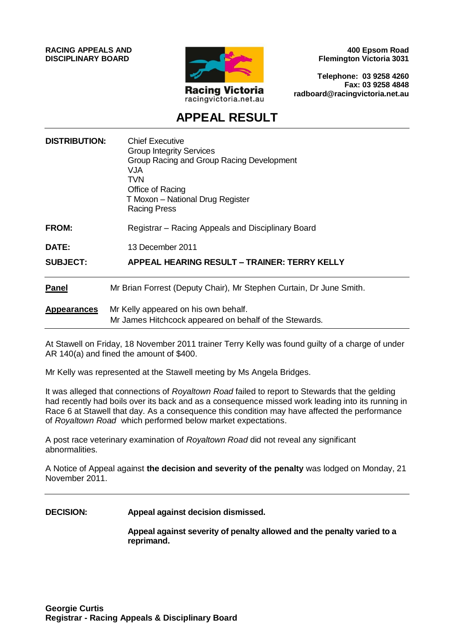**RACING APPEALS AND DISCIPLINARY BOARD**



**400 Epsom Road Flemington Victoria 3031**

**Telephone: 03 9258 4260 Fax: 03 9258 4848 radboard@racingvictoria.net.au**

# **APPEAL RESULT**

| <b>DISTRIBUTION:</b> | <b>Chief Executive</b><br><b>Group Integrity Services</b><br>Group Racing and Group Racing Development<br>VJA<br><b>TVN</b><br>Office of Racing<br>T Moxon - National Drug Register<br><b>Racing Press</b> |
|----------------------|------------------------------------------------------------------------------------------------------------------------------------------------------------------------------------------------------------|
| <b>FROM:</b>         | Registrar – Racing Appeals and Disciplinary Board                                                                                                                                                          |
| DATE:                | 13 December 2011                                                                                                                                                                                           |
| <b>SUBJECT:</b>      | APPEAL HEARING RESULT – TRAINER: TERRY KELLY                                                                                                                                                               |
| <b>Panel</b>         | Mr Brian Forrest (Deputy Chair), Mr Stephen Curtain, Dr June Smith.                                                                                                                                        |
| <b>Appearances</b>   | Mr Kelly appeared on his own behalf.<br>Mr James Hitchcock appeared on behalf of the Stewards.                                                                                                             |

At Stawell on Friday, 18 November 2011 trainer Terry Kelly was found guilty of a charge of under AR 140(a) and fined the amount of \$400.

Mr Kelly was represented at the Stawell meeting by Ms Angela Bridges.

It was alleged that connections of *Royaltown Road* failed to report to Stewards that the gelding had recently had boils over its back and as a consequence missed work leading into its running in Race 6 at Stawell that day. As a consequence this condition may have affected the performance of *Royaltown Road* which performed below market expectations.

A post race veterinary examination of *Royaltown Road* did not reveal any significant abnormalities.

A Notice of Appeal against **the decision and severity of the penalty** was lodged on Monday, 21 November 2011.

**DECISION: Appeal against decision dismissed.**

**Appeal against severity of penalty allowed and the penalty varied to a reprimand.**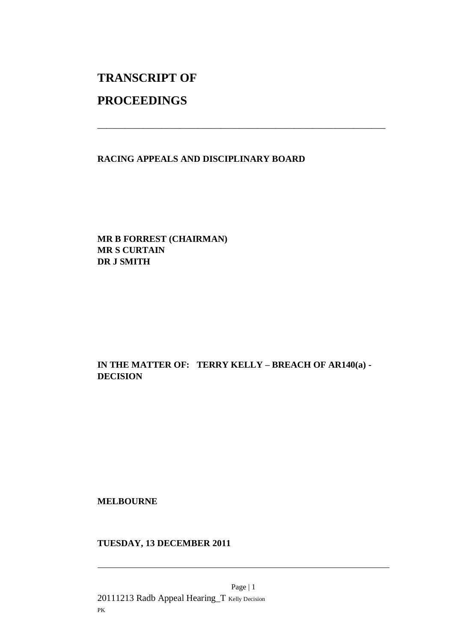# **TRANSCRIPT OF**

## **PROCEEDINGS**

**RACING APPEALS AND DISCIPLINARY BOARD**

\_\_\_\_\_\_\_\_\_\_\_\_\_\_\_\_\_\_\_\_\_\_\_\_\_\_\_\_\_\_\_\_\_\_\_\_\_\_\_\_\_\_\_\_\_\_\_\_\_\_\_\_\_\_\_\_\_\_\_\_\_\_\_

**MR B FORREST (CHAIRMAN) MR S CURTAIN DR J SMITH**

### **IN THE MATTER OF: TERRY KELLY – BREACH OF AR140(a) - DECISION**

**MELBOURNE**

**TUESDAY, 13 DECEMBER 2011**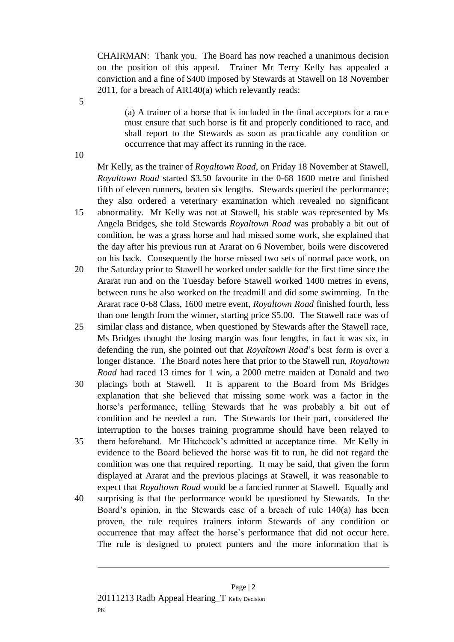CHAIRMAN: Thank you. The Board has now reached a unanimous decision on the position of this appeal. Trainer Mr Terry Kelly has appealed a conviction and a fine of \$400 imposed by Stewards at Stawell on 18 November 2011, for a breach of AR140(a) which relevantly reads:

(a) A trainer of a horse that is included in the final acceptors for a race must ensure that such horse is fit and properly conditioned to race, and shall report to the Stewards as soon as practicable any condition or occurrence that may affect its running in the race.

10

5

Mr Kelly, as the trainer of *Royaltown Road*, on Friday 18 November at Stawell, *Royaltown Road* started \$3.50 favourite in the 0-68 1600 metre and finished fifth of eleven runners, beaten six lengths. Stewards queried the performance; they also ordered a veterinary examination which revealed no significant

- 15 abnormality. Mr Kelly was not at Stawell, his stable was represented by Ms Angela Bridges, she told Stewards *Royaltown Road* was probably a bit out of condition, he was a grass horse and had missed some work, she explained that the day after his previous run at Ararat on 6 November, boils were discovered on his back. Consequently the horse missed two sets of normal pace work, on
- 20 the Saturday prior to Stawell he worked under saddle for the first time since the Ararat run and on the Tuesday before Stawell worked 1400 metres in evens, between runs he also worked on the treadmill and did some swimming. In the Ararat race 0-68 Class, 1600 metre event, *Royaltown Road* finished fourth, less than one length from the winner, starting price \$5.00. The Stawell race was of
- 25 similar class and distance, when questioned by Stewards after the Stawell race, Ms Bridges thought the losing margin was four lengths, in fact it was six, in defending the run, she pointed out that *Royaltown Road*'s best form is over a longer distance. The Board notes here that prior to the Stawell run, *Royaltown Road* had raced 13 times for 1 win, a 2000 metre maiden at Donald and two
- 30 placings both at Stawell. It is apparent to the Board from Ms Bridges explanation that she believed that missing some work was a factor in the horse's performance, telling Stewards that he was probably a bit out of condition and he needed a run. The Stewards for their part, considered the interruption to the horses training programme should have been relayed to
- 35 them beforehand. Mr Hitchcock's admitted at acceptance time. Mr Kelly in evidence to the Board believed the horse was fit to run, he did not regard the condition was one that required reporting. It may be said, that given the form displayed at Ararat and the previous placings at Stawell, it was reasonable to expect that *Royaltown Road* would be a fancied runner at Stawell. Equally and
- 40 surprising is that the performance would be questioned by Stewards. In the Board's opinion, in the Stewards case of a breach of rule 140(a) has been proven, the rule requires trainers inform Stewards of any condition or occurrence that may affect the horse's performance that did not occur here. The rule is designed to protect punters and the more information that is